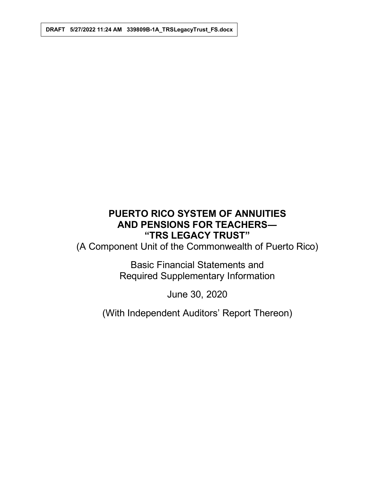**DRAFT 5/27/2022 11:24 AM 339809B-1A\_TRSLegacyTrust\_FS.docx**

# **PUERTO RICO SYSTEM OF ANNUITIES AND PENSIONS FOR TEACHERS― "TRS LEGACY TRUST"**

(A Component Unit of the Commonwealth of Puerto Rico)

Basic Financial Statements and Required Supplementary Information

June 30, 2020

(With Independent Auditors' Report Thereon)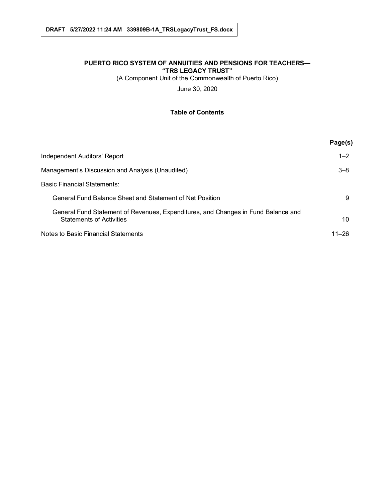(A Component Unit of the Commonwealth of Puerto Rico)

June 30, 2020

# **Table of Contents**

|                                                                                                                      | Page(s) |
|----------------------------------------------------------------------------------------------------------------------|---------|
| Independent Auditors' Report                                                                                         | $1 - 2$ |
| Management's Discussion and Analysis (Unaudited)                                                                     | $3 - 8$ |
| Basic Financial Statements:                                                                                          |         |
| General Fund Balance Sheet and Statement of Net Position                                                             | 9       |
| General Fund Statement of Revenues, Expenditures, and Changes in Fund Balance and<br><b>Statements of Activities</b> | 10      |
| Notes to Basic Financial Statements                                                                                  | 11–26   |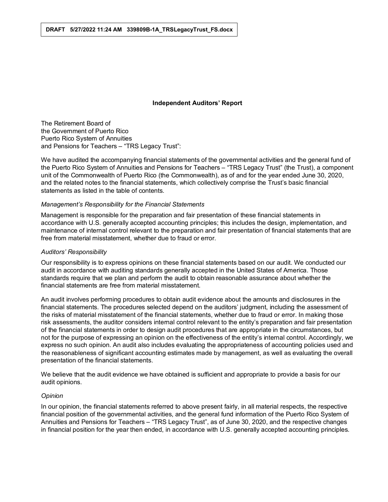#### **Independent Auditors' Report**

The Retirement Board of the Government of Puerto Rico Puerto Rico System of Annuities and Pensions for Teachers – "TRS Legacy Trust":

We have audited the accompanying financial statements of the governmental activities and the general fund of the Puerto Rico System of Annuities and Pensions for Teachers – "TRS Legacy Trust" (the Trust), a component unit of the Commonwealth of Puerto Rico (the Commonwealth), as of and for the year ended June 30, 2020, and the related notes to the financial statements, which collectively comprise the Trust's basic financial statements as listed in the table of contents.

#### *Management's Responsibility for the Financial Statements*

Management is responsible for the preparation and fair presentation of these financial statements in accordance with U.S. generally accepted accounting principles; this includes the design, implementation, and maintenance of internal control relevant to the preparation and fair presentation of financial statements that are free from material misstatement, whether due to fraud or error.

#### *Auditors' Responsibility*

Our responsibility is to express opinions on these financial statements based on our audit. We conducted our audit in accordance with auditing standards generally accepted in the United States of America. Those standards require that we plan and perform the audit to obtain reasonable assurance about whether the financial statements are free from material misstatement.

An audit involves performing procedures to obtain audit evidence about the amounts and disclosures in the financial statements. The procedures selected depend on the auditors' judgment, including the assessment of the risks of material misstatement of the financial statements, whether due to fraud or error. In making those risk assessments, the auditor considers internal control relevant to the entity's preparation and fair presentation of the financial statements in order to design audit procedures that are appropriate in the circumstances, but not for the purpose of expressing an opinion on the effectiveness of the entity's internal control. Accordingly, we express no such opinion. An audit also includes evaluating the appropriateness of accounting policies used and the reasonableness of significant accounting estimates made by management, as well as evaluating the overall presentation of the financial statements.

We believe that the audit evidence we have obtained is sufficient and appropriate to provide a basis for our audit opinions.

#### *Opinion*

In our opinion, the financial statements referred to above present fairly, in all material respects, the respective financial position of the governmental activities, and the general fund information of the Puerto Rico System of Annuities and Pensions for Teachers – "TRS Legacy Trust", as of June 30, 2020, and the respective changes in financial position for the year then ended, in accordance with U.S. generally accepted accounting principles.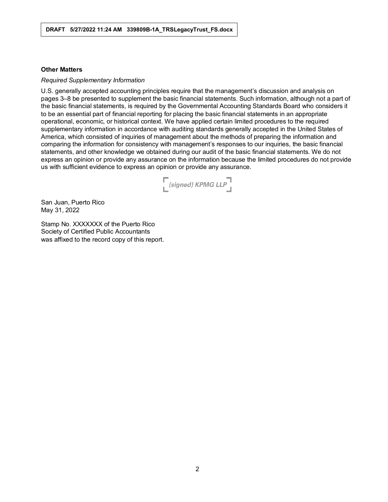#### **Other Matters**

#### *Required Supplementary Information*

U.S. generally accepted accounting principles require that the management's discussion and analysis on pages 3–8 be presented to supplement the basic financial statements. Such information, although not a part of the basic financial statements, is required by the Governmental Accounting Standards Board who considers it to be an essential part of financial reporting for placing the basic financial statements in an appropriate operational, economic, or historical context. We have applied certain limited procedures to the required supplementary information in accordance with auditing standards generally accepted in the United States of America, which consisted of inquiries of management about the methods of preparing the information and comparing the information for consistency with management's responses to our inquiries, the basic financial statements, and other knowledge we obtained during our audit of the basic financial statements. We do not express an opinion or provide any assurance on the information because the limited procedures do not provide us with sufficient evidence to express an opinion or provide any assurance.

**L**(signed) KPMG LLP

San Juan, Puerto Rico May 31, 2022

Stamp No. XXXXXXX of the Puerto Rico Society of Certified Public Accountants was affixed to the record copy of this report.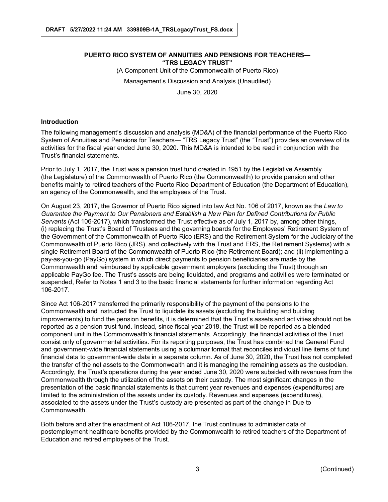(A Component Unit of the Commonwealth of Puerto Rico)

Management's Discussion and Analysis (Unaudited)

June 30, 2020

## **Introduction**

The following management's discussion and analysis (MD&A) of the financial performance of the Puerto Rico System of Annuities and Pensions for Teachers― "TRS Legacy Trust" (the "Trust") provides an overview of its activities for the fiscal year ended June 30, 2020. This MD&A is intended to be read in conjunction with the Trust's financial statements.

Prior to July 1, 2017, the Trust was a pension trust fund created in 1951 by the Legislative Assembly (the Legislature) of the Commonwealth of Puerto Rico (the Commonwealth) to provide pension and other benefits mainly to retired teachers of the Puerto Rico Department of Education (the Department of Education), an agency of the Commonwealth, and the employees of the Trust.

On August 23, 2017, the Governor of Puerto Rico signed into law Act No. 106 of 2017, known as the *Law to Guarantee the Payment to Our Pensioners and Establish a New Plan for Defined Contributions for Public Servants* (Act 106-2017), which transformed the Trust effective as of July 1, 2017 by, among other things, (i) replacing the Trust's Board of Trustees and the governing boards for the Employees' Retirement System of the Government of the Commonwealth of Puerto Rico (ERS) and the Retirement System for the Judiciary of the Commonwealth of Puerto Rico (JRS), and collectively with the Trust and ERS, the Retirement Systems) with a single Retirement Board of the Commonwealth of Puerto Rico (the Retirement Board); and (ii) implementing a pay-as-you-go (PayGo) system in which direct payments to pension beneficiaries are made by the Commonwealth and reimbursed by applicable government employers (excluding the Trust) through an applicable PayGo fee. The Trust's assets are being liquidated, and programs and activities were terminated or suspended, Refer to Notes 1 and 3 to the basic financial statements for further information regarding Act 106-2017.

Since Act 106-2017 transferred the primarily responsibility of the payment of the pensions to the Commonwealth and instructed the Trust to liquidate its assets (excluding the building and building improvements) to fund the pension benefits, it is determined that the Trust's assets and activities should not be reported as a pension trust fund. Instead, since fiscal year 2018, the Trust will be reported as a blended component unit in the Commonwealth's financial statements. Accordingly, the financial activities of the Trust consist only of governmental activities. For its reporting purposes, the Trust has combined the General Fund and government-wide financial statements using a columnar format that reconciles individual line items of fund financial data to government-wide data in a separate column. As of June 30, 2020, the Trust has not completed the transfer of the net assets to the Commonwealth and it is managing the remaining assets as the custodian. Accordingly, the Trust's operations during the year ended June 30, 2020 were subsided with revenues from the Commonwealth through the utilization of the assets on their custody. The most significant changes in the presentation of the basic financial statements is that current year revenues and expenses (expenditures) are limited to the administration of the assets under its custody. Revenues and expenses (expenditures), associated to the assets under the Trust's custody are presented as part of the change in Due to Commonwealth.

Both before and after the enactment of Act 106-2017, the Trust continues to administer data of postemployment healthcare benefits provided by the Commonwealth to retired teachers of the Department of Education and retired employees of the Trust.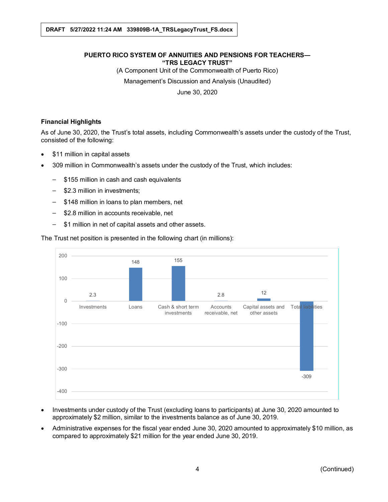(A Component Unit of the Commonwealth of Puerto Rico)

Management's Discussion and Analysis (Unaudited)

June 30, 2020

## **Financial Highlights**

As of June 30, 2020, the Trust's total assets, including Commonwealth's assets under the custody of the Trust, consisted of the following:

- \$11 million in capital assets
- 309 million in Commonwealth's assets under the custody of the Trust, which includes:
	- \$155 million in cash and cash equivalents
	- \$2.3 million in investments;
	- \$148 million in loans to plan members, net
	- \$2.8 million in accounts receivable, net
	- \$1 million in net of capital assets and other assets.

The Trust net position is presented in the following chart (in millions):



- Investments under custody of the Trust (excluding loans to participants) at June 30, 2020 amounted to approximately \$2 million, similar to the investments balance as of June 30, 2019.
- Administrative expenses for the fiscal year ended June 30, 2020 amounted to approximately \$10 million, as compared to approximately \$21 million for the year ended June 30, 2019.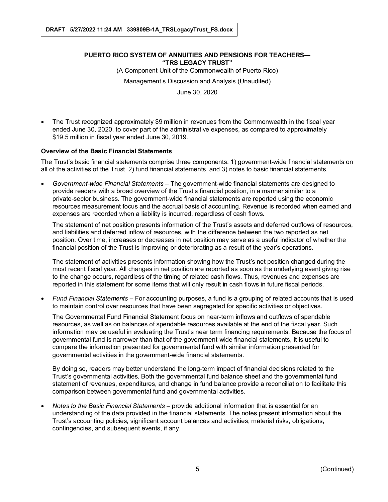(A Component Unit of the Commonwealth of Puerto Rico)

Management's Discussion and Analysis (Unaudited)

June 30, 2020

• The Trust recognized approximately \$9 million in revenues from the Commonwealth in the fiscal year ended June 30, 2020, to cover part of the administrative expenses, as compared to approximately \$19.5 million in fiscal year ended June 30, 2019.

#### **Overview of the Basic Financial Statements**

The Trust's basic financial statements comprise three components: 1) government-wide financial statements on all of the activities of the Trust, 2) fund financial statements, and 3) notes to basic financial statements.

• *Government-wide Financial Statements* – The government-wide financial statements are designed to provide readers with a broad overview of the Trust's financial position, in a manner similar to a private-sector business. The government-wide financial statements are reported using the economic resources measurement focus and the accrual basis of accounting. Revenue is recorded when earned and expenses are recorded when a liability is incurred, regardless of cash flows.

The statement of net position presents information of the Trust's assets and deferred outflows of resources, and liabilities and deferred inflow of resources, with the difference between the two reported as net position. Over time, increases or decreases in net position may serve as a useful indicator of whether the financial position of the Trust is improving or deteriorating as a result of the year's operations.

The statement of activities presents information showing how the Trust's net position changed during the most recent fiscal year. All changes in net position are reported as soon as the underlying event giving rise to the change occurs, regardless of the timing of related cash flows. Thus, revenues and expenses are reported in this statement for some items that will only result in cash flows in future fiscal periods.

• *Fund Financial Statements* – For accounting purposes, a fund is a grouping of related accounts that is used to maintain control over resources that have been segregated for specific activities or objectives.

The Governmental Fund Financial Statement focus on near-term inflows and outflows of spendable resources, as well as on balances of spendable resources available at the end of the fiscal year. Such information may be useful in evaluating the Trust's near term financing requirements. Because the focus of governmental fund is narrower than that of the government-wide financial statements, it is useful to compare the information presented for governmental fund with similar information presented for governmental activities in the government-wide financial statements.

By doing so, readers may better understand the long-term impact of financial decisions related to the Trust's governmental activities. Both the governmental fund balance sheet and the governmental fund statement of revenues, expenditures, and change in fund balance provide a reconciliation to facilitate this comparison between governmental fund and governmental activities.

• *Notes to the Basic Financial Statements* – provide additional information that is essential for an understanding of the data provided in the financial statements. The notes present information about the Trust's accounting policies, significant account balances and activities, material risks, obligations, contingencies, and subsequent events, if any.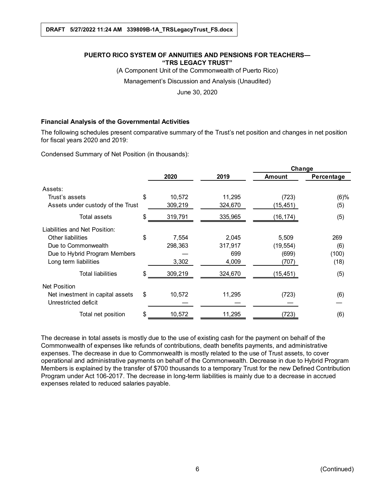(A Component Unit of the Commonwealth of Puerto Rico)

Management's Discussion and Analysis (Unaudited)

June 30, 2020

## **Financial Analysis of the Governmental Activities**

The following schedules present comparative summary of the Trust's net position and changes in net position for fiscal years 2020 and 2019:

Condensed Summary of Net Position (in thousands):

|                                   |               |         | Change        |            |
|-----------------------------------|---------------|---------|---------------|------------|
|                                   | 2020          | 2019    | <b>Amount</b> | Percentage |
| Assets:                           |               |         |               |            |
| Trust's assets                    | \$<br>10,572  | 11,295  | (723)         | (6)%       |
| Assets under custody of the Trust | 309,219       | 324,670 | (15,451)      | (5)        |
| Total assets                      | \$<br>319,791 | 335,965 | (16, 174)     | (5)        |
| Liabilities and Net Position:     |               |         |               |            |
| Other liabilities                 | \$<br>7,554   | 2,045   | 5,509         | 269        |
| Due to Commonwealth               | 298,363       | 317,917 | (19, 554)     | (6)        |
| Due to Hybrid Program Members     |               | 699     | (699)         | (100)      |
| Long term liabilities             | 3,302         | 4,009   | (707)         | (18)       |
| <b>Total liabilities</b>          | \$<br>309,219 | 324,670 | (15,451)      | (5)        |
| Net Position                      |               |         |               |            |
| Net investment in capital assets  | \$<br>10,572  | 11,295  | (723)         | (6)        |
| Unrestricted deficit              |               |         |               |            |
| Total net position                | \$<br>10,572  | 11,295  | (723)         | (6)        |

The decrease in total assets is mostly due to the use of existing cash for the payment on behalf of the Commonwealth of expenses like refunds of contributions, death benefits payments, and administrative expenses. The decrease in due to Commonwealth is mostly related to the use of Trust assets, to cover operational and administrative payments on behalf of the Commonwealth. Decrease in due to Hybrid Program Members is explained by the transfer of \$700 thousands to a temporary Trust for the new Defined Contribution Program under Act 106-2017. The decrease in long-term liabilities is mainly due to a decrease in accrued expenses related to reduced salaries payable.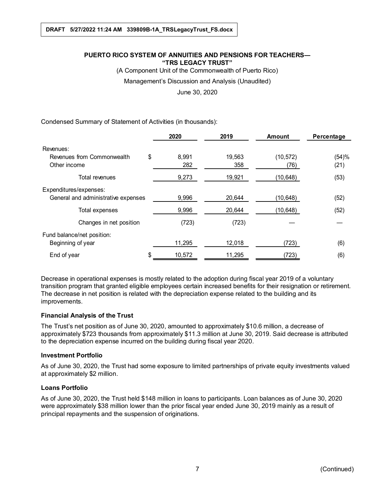(A Component Unit of the Commonwealth of Puerto Rico)

Management's Discussion and Analysis (Unaudited)

June 30, 2020

Condensed Summary of Statement of Activities (in thousands):

|                                     | 2020         | 2019   | Amount    | Percentage |
|-------------------------------------|--------------|--------|-----------|------------|
| Revenues:                           |              |        |           |            |
| Revenues from Commonwealth          | \$<br>8,991  | 19,563 | (10, 572) | (54)%      |
| Other income                        | 282          | 358    | (76)      | (21)       |
| Total revenues                      | 9,273        | 19,921 | (10, 648) | (53)       |
| Expenditures/expenses:              |              |        |           |            |
| General and administrative expenses | 9,996        | 20,644 | (10, 648) | (52)       |
| Total expenses                      | 9,996        | 20,644 | (10, 648) | (52)       |
| Changes in net position             | (723)        | (723)  |           |            |
| Fund balance/net position:          |              |        |           |            |
| Beginning of year                   | 11,295       | 12,018 | (723)     | (6)        |
| End of year                         | \$<br>10,572 | 11,295 | (723)     | (6)        |

Decrease in operational expenses is mostly related to the adoption during fiscal year 2019 of a voluntary transition program that granted eligible employees certain increased benefits for their resignation or retirement. The decrease in net position is related with the depreciation expense related to the building and its improvements.

#### **Financial Analysis of the Trust**

The Trust's net position as of June 30, 2020, amounted to approximately \$10.6 million, a decrease of approximately \$723 thousands from approximately \$11.3 million at June 30, 2019. Said decrease is attributed to the depreciation expense incurred on the building during fiscal year 2020.

## **Investment Portfolio**

As of June 30, 2020, the Trust had some exposure to limited partnerships of private equity investments valued at approximately \$2 million.

#### **Loans Portfolio**

As of June 30, 2020, the Trust held \$148 million in loans to participants. Loan balances as of June 30, 2020 were approximately \$38 million lower than the prior fiscal year ended June 30, 2019 mainly as a result of principal repayments and the suspension of originations.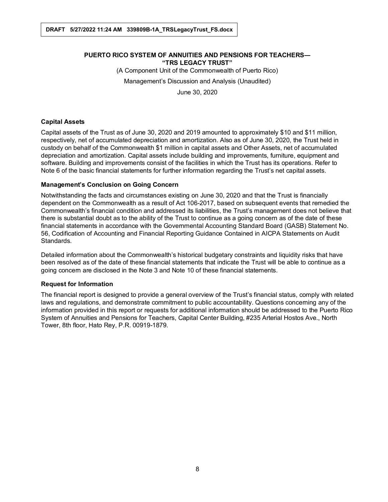(A Component Unit of the Commonwealth of Puerto Rico)

Management's Discussion and Analysis (Unaudited)

June 30, 2020

## **Capital Assets**

Capital assets of the Trust as of June 30, 2020 and 2019 amounted to approximately \$10 and \$11 million, respectively, net of accumulated depreciation and amortization. Also as of June 30, 2020, the Trust held in custody on behalf of the Commonwealth \$1 million in capital assets and Other Assets, net of accumulated depreciation and amortization. Capital assets include building and improvements, furniture, equipment and software. Building and improvements consist of the facilities in which the Trust has its operations. Refer to Note 6 of the basic financial statements for further information regarding the Trust's net capital assets.

#### **Management's Conclusion on Going Concern**

Notwithstanding the facts and circumstances existing on June 30, 2020 and that the Trust is financially dependent on the Commonwealth as a result of Act 106-2017, based on subsequent events that remedied the Commonwealth's financial condition and addressed its liabilities, the Trust's management does not believe that there is substantial doubt as to the ability of the Trust to continue as a going concern as of the date of these financial statements in accordance with the Governmental Accounting Standard Board (GASB) Statement No. 56, Codification of Accounting and Financial Reporting Guidance Contained in AICPA Statements on Audit Standards.

Detailed information about the Commonwealth's historical budgetary constraints and liquidity risks that have been resolved as of the date of these financial statements that indicate the Trust will be able to continue as a going concern are disclosed in the Note 3 and Note 10 of these financial statements.

#### **Request for Information**

The financial report is designed to provide a general overview of the Trust's financial status, comply with related laws and regulations, and demonstrate commitment to public accountability. Questions concerning any of the information provided in this report or requests for additional information should be addressed to the Puerto Rico System of Annuities and Pensions for Teachers, Capital Center Building, #235 Arterial Hostos Ave., North Tower, 8th floor, Hato Rey, P.R. 00919-1879.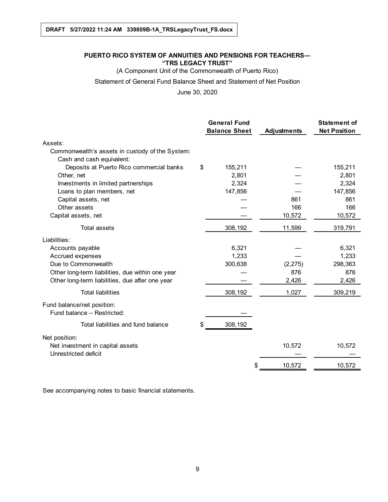(A Component Unit of the Commonwealth of Puerto Rico)

# Statement of General Fund Balance Sheet and Statement of Net Position

June 30, 2020

| Assets:<br>Commonwealth's assets in custody of the System:<br>Cash and cash equivalent:<br>Deposits at Puerto Rico commercial banks<br>\$<br>155,211<br>155,211<br>Other, net<br>2,801<br>2,801<br>Investments in limited partnerships<br>2,324<br>2,324<br>Loans to plan members, net<br>147,856<br>147,856<br>861<br>Capital assets, net<br>861<br>Other assets<br>166<br>166<br>10,572<br>Capital assets, net<br>10,572<br><b>Total assets</b><br>11,599<br>308,192<br>319,791<br>Liabilities:<br>6,321<br>Accounts payable<br>6,321<br>1,233<br>1,233<br>Accrued expenses<br>Due to Commonwealth<br>300,638<br>298,363<br>(2, 275)<br>876<br>Other long-term liabilities, due within one year<br>876<br>Other long-term liabilities, due after one year<br>2,426<br>2,426<br><b>Total liabilities</b><br>308,192<br>1,027<br>309,219<br>Fund balance/net position:<br>Fund balance - Restricted:<br>308,192<br>Total liabilities and fund balance<br>\$<br>Net position:<br>10,572<br>Net investment in capital assets<br>10,572<br>Unrestricted deficit<br>10,572<br>10,572 |  | <b>General Fund</b><br><b>Balance Sheet</b> | <b>Adjustments</b> | <b>Statement of</b><br><b>Net Position</b> |
|----------------------------------------------------------------------------------------------------------------------------------------------------------------------------------------------------------------------------------------------------------------------------------------------------------------------------------------------------------------------------------------------------------------------------------------------------------------------------------------------------------------------------------------------------------------------------------------------------------------------------------------------------------------------------------------------------------------------------------------------------------------------------------------------------------------------------------------------------------------------------------------------------------------------------------------------------------------------------------------------------------------------------------------------------------------------------------|--|---------------------------------------------|--------------------|--------------------------------------------|
|                                                                                                                                                                                                                                                                                                                                                                                                                                                                                                                                                                                                                                                                                                                                                                                                                                                                                                                                                                                                                                                                                  |  |                                             |                    |                                            |
|                                                                                                                                                                                                                                                                                                                                                                                                                                                                                                                                                                                                                                                                                                                                                                                                                                                                                                                                                                                                                                                                                  |  |                                             |                    |                                            |
|                                                                                                                                                                                                                                                                                                                                                                                                                                                                                                                                                                                                                                                                                                                                                                                                                                                                                                                                                                                                                                                                                  |  |                                             |                    |                                            |
|                                                                                                                                                                                                                                                                                                                                                                                                                                                                                                                                                                                                                                                                                                                                                                                                                                                                                                                                                                                                                                                                                  |  |                                             |                    |                                            |
|                                                                                                                                                                                                                                                                                                                                                                                                                                                                                                                                                                                                                                                                                                                                                                                                                                                                                                                                                                                                                                                                                  |  |                                             |                    |                                            |
|                                                                                                                                                                                                                                                                                                                                                                                                                                                                                                                                                                                                                                                                                                                                                                                                                                                                                                                                                                                                                                                                                  |  |                                             |                    |                                            |
|                                                                                                                                                                                                                                                                                                                                                                                                                                                                                                                                                                                                                                                                                                                                                                                                                                                                                                                                                                                                                                                                                  |  |                                             |                    |                                            |
|                                                                                                                                                                                                                                                                                                                                                                                                                                                                                                                                                                                                                                                                                                                                                                                                                                                                                                                                                                                                                                                                                  |  |                                             |                    |                                            |
|                                                                                                                                                                                                                                                                                                                                                                                                                                                                                                                                                                                                                                                                                                                                                                                                                                                                                                                                                                                                                                                                                  |  |                                             |                    |                                            |
|                                                                                                                                                                                                                                                                                                                                                                                                                                                                                                                                                                                                                                                                                                                                                                                                                                                                                                                                                                                                                                                                                  |  |                                             |                    |                                            |
|                                                                                                                                                                                                                                                                                                                                                                                                                                                                                                                                                                                                                                                                                                                                                                                                                                                                                                                                                                                                                                                                                  |  |                                             |                    |                                            |
|                                                                                                                                                                                                                                                                                                                                                                                                                                                                                                                                                                                                                                                                                                                                                                                                                                                                                                                                                                                                                                                                                  |  |                                             |                    |                                            |
|                                                                                                                                                                                                                                                                                                                                                                                                                                                                                                                                                                                                                                                                                                                                                                                                                                                                                                                                                                                                                                                                                  |  |                                             |                    |                                            |
|                                                                                                                                                                                                                                                                                                                                                                                                                                                                                                                                                                                                                                                                                                                                                                                                                                                                                                                                                                                                                                                                                  |  |                                             |                    |                                            |
|                                                                                                                                                                                                                                                                                                                                                                                                                                                                                                                                                                                                                                                                                                                                                                                                                                                                                                                                                                                                                                                                                  |  |                                             |                    |                                            |
|                                                                                                                                                                                                                                                                                                                                                                                                                                                                                                                                                                                                                                                                                                                                                                                                                                                                                                                                                                                                                                                                                  |  |                                             |                    |                                            |
|                                                                                                                                                                                                                                                                                                                                                                                                                                                                                                                                                                                                                                                                                                                                                                                                                                                                                                                                                                                                                                                                                  |  |                                             |                    |                                            |
|                                                                                                                                                                                                                                                                                                                                                                                                                                                                                                                                                                                                                                                                                                                                                                                                                                                                                                                                                                                                                                                                                  |  |                                             |                    |                                            |
|                                                                                                                                                                                                                                                                                                                                                                                                                                                                                                                                                                                                                                                                                                                                                                                                                                                                                                                                                                                                                                                                                  |  |                                             |                    |                                            |
|                                                                                                                                                                                                                                                                                                                                                                                                                                                                                                                                                                                                                                                                                                                                                                                                                                                                                                                                                                                                                                                                                  |  |                                             |                    |                                            |
|                                                                                                                                                                                                                                                                                                                                                                                                                                                                                                                                                                                                                                                                                                                                                                                                                                                                                                                                                                                                                                                                                  |  |                                             |                    |                                            |
|                                                                                                                                                                                                                                                                                                                                                                                                                                                                                                                                                                                                                                                                                                                                                                                                                                                                                                                                                                                                                                                                                  |  |                                             |                    |                                            |
|                                                                                                                                                                                                                                                                                                                                                                                                                                                                                                                                                                                                                                                                                                                                                                                                                                                                                                                                                                                                                                                                                  |  |                                             |                    |                                            |
|                                                                                                                                                                                                                                                                                                                                                                                                                                                                                                                                                                                                                                                                                                                                                                                                                                                                                                                                                                                                                                                                                  |  |                                             |                    |                                            |
|                                                                                                                                                                                                                                                                                                                                                                                                                                                                                                                                                                                                                                                                                                                                                                                                                                                                                                                                                                                                                                                                                  |  |                                             |                    |                                            |

See accompanying notes to basic financial statements.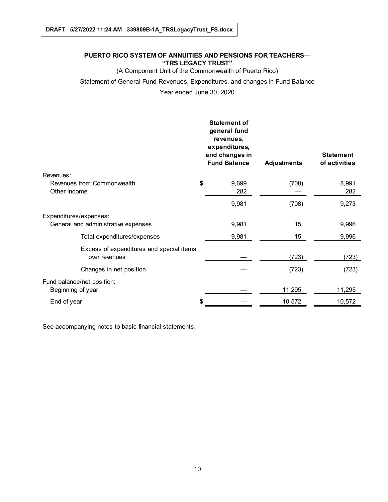(A Component Unit of the Commonwealth of Puerto Rico)

Statement of General Fund Revenues, Expenditures, and changes in Fund Balance

Year ended June 30, 2020

|                                          | <b>Statement of</b><br>general fund<br>revenues,<br>expenditures,<br>and changes in<br><b>Fund Balance</b> | <b>Adjustments</b> | <b>Statement</b><br>of activities |
|------------------------------------------|------------------------------------------------------------------------------------------------------------|--------------------|-----------------------------------|
| Revenues:                                |                                                                                                            |                    |                                   |
| \$<br>Revenues from Commonwealth         | 9,699                                                                                                      | (708)              | 8,991                             |
| Other income                             | 282                                                                                                        |                    | 282                               |
|                                          | 9,981                                                                                                      | (708)              | 9,273                             |
| Expenditures/expenses:                   |                                                                                                            |                    |                                   |
| General and administrative expenses      | 9,981                                                                                                      | 15                 | 9,996                             |
| Total expenditures/expenses              | 9,981                                                                                                      | 15                 | 9,996                             |
| Excess of expenditures and special items |                                                                                                            |                    |                                   |
| over revenues                            |                                                                                                            | (723)              | (723)                             |
| Changes in net position                  |                                                                                                            | (723)              | (723)                             |
| Fund balance/net position:               |                                                                                                            |                    |                                   |
| Beginning of year                        |                                                                                                            | 11,295             | 11,295                            |
| \$<br>End of year                        |                                                                                                            | 10,572             | 10,572                            |

See accompanying notes to basic financial statements.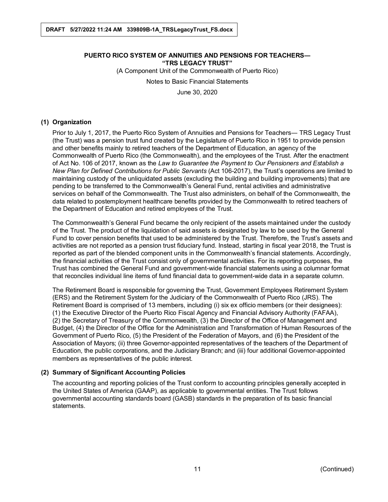(A Component Unit of the Commonwealth of Puerto Rico)

Notes to Basic Financial Statements

June 30, 2020

## **(1) Organization**

Prior to July 1, 2017, the Puerto Rico System of Annuities and Pensions for Teachers― TRS Legacy Trust (the Trust) was a pension trust fund created by the Legislature of Puerto Rico in 1951 to provide pension and other benefits mainly to retired teachers of the Department of Education, an agency of the Commonwealth of Puerto Rico (the Commonwealth), and the employees of the Trust. After the enactment of Act No. 106 of 2017, known as the *Law to Guarantee the Payment to Our Pensioners and Establish a New Plan for Defined Contributions for Public Servants* (Act 106-2017), the Trust's operations are limited to maintaining custody of the unliquidated assets (excluding the building and building improvements) that are pending to be transferred to the Commonwealth's General Fund, rental activities and administrative services on behalf of the Commonwealth. The Trust also administers, on behalf of the Commonwealth, the data related to postemployment healthcare benefits provided by the Commonwealth to retired teachers of the Department of Education and retired employees of the Trust.

The Commonwealth's General Fund became the only recipient of the assets maintained under the custody of the Trust. The product of the liquidation of said assets is designated by law to be used by the General Fund to cover pension benefits that used to be administered by the Trust. Therefore, the Trust's assets and activities are not reported as a pension trust fiduciary fund. Instead, starting in fiscal year 2018, the Trust is reported as part of the blended component units in the Commonwealth's financial statements. Accordingly, the financial activities of the Trust consist only of governmental activities. For its reporting purposes, the Trust has combined the General Fund and government-wide financial statements using a columnar format that reconciles individual line items of fund financial data to government-wide data in a separate column.

The Retirement Board is responsible for governing the Trust, Government Employees Retirement System (ERS) and the Retirement System for the Judiciary of the Commonwealth of Puerto Rico (JRS). The Retirement Board is comprised of 13 members, including (i) six ex officio members (or their designees): (1) the Executive Director of the Puerto Rico Fiscal Agency and Financial Advisory Authority (FAFAA), (2) the Secretary of Treasury of the Commonwealth, (3) the Director of the Office of Management and Budget, (4) the Director of the Office for the Administration and Transformation of Human Resources of the Government of Puerto Rico, (5) the President of the Federation of Mayors, and (6) the President of the Association of Mayors; (ii) three Governor-appointed representatives of the teachers of the Department of Education, the public corporations, and the Judiciary Branch; and (iii) four additional Governor-appointed members as representatives of the public interest.

#### **(2) Summary of Significant Accounting Policies**

The accounting and reporting policies of the Trust conform to accounting principles generally accepted in the United States of America (GAAP), as applicable to governmental entities. The Trust follows governmental accounting standards board (GASB) standards in the preparation of its basic financial statements.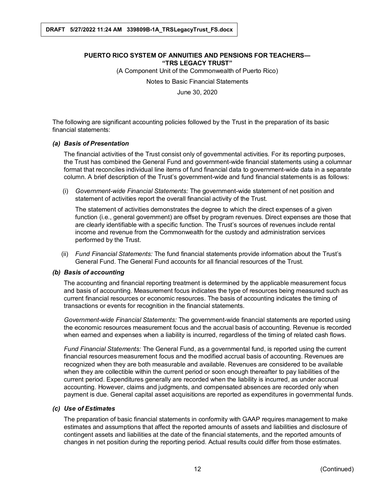(A Component Unit of the Commonwealth of Puerto Rico)

Notes to Basic Financial Statements

June 30, 2020

The following are significant accounting policies followed by the Trust in the preparation of its basic financial statements:

#### *(a) Basis of Presentation*

The financial activities of the Trust consist only of governmental activities. For its reporting purposes, the Trust has combined the General Fund and government-wide financial statements using a columnar format that reconciles individual line items of fund financial data to government-wide data in a separate column. A brief description of the Trust's government-wide and fund financial statements is as follows:

(i) *Government-wide Financial Statements:* The government-wide statement of net position and statement of activities report the overall financial activity of the Trust.

The statement of activities demonstrates the degree to which the direct expenses of a given function (i.e., general government) are offset by program revenues. Direct expenses are those that are clearly identifiable with a specific function. The Trust's sources of revenues include rental income and revenue from the Commonwealth for the custody and administration services performed by the Trust.

(ii) *Fund Financial Statements:* The fund financial statements provide information about the Trust's General Fund. The General Fund accounts for all financial resources of the Trust.

#### *(b) Basis of accounting*

The accounting and financial reporting treatment is determined by the applicable measurement focus and basis of accounting. Measurement focus indicates the type of resources being measured such as current financial resources or economic resources. The basis of accounting indicates the timing of transactions or events for recognition in the financial statements.

*Government-wide Financial Statements:* The government-wide financial statements are reported using the economic resources measurement focus and the accrual basis of accounting. Revenue is recorded when earned and expenses when a liability is incurred, regardless of the timing of related cash flows.

*Fund Financial Statements:* The General Fund, as a governmental fund, is reported using the current financial resources measurement focus and the modified accrual basis of accounting. Revenues are recognized when they are both measurable and available. Revenues are considered to be available when they are collectible within the current period or soon enough thereafter to pay liabilities of the current period. Expenditures generally are recorded when the liability is incurred, as under accrual accounting. However, claims and judgments, and compensated absences are recorded only when payment is due. General capital asset acquisitions are reported as expenditures in governmental funds.

#### *(c) Use of Estimates*

The preparation of basic financial statements in conformity with GAAP requires management to make estimates and assumptions that affect the reported amounts of assets and liabilities and disclosure of contingent assets and liabilities at the date of the financial statements, and the reported amounts of changes in net position during the reporting period. Actual results could differ from those estimates.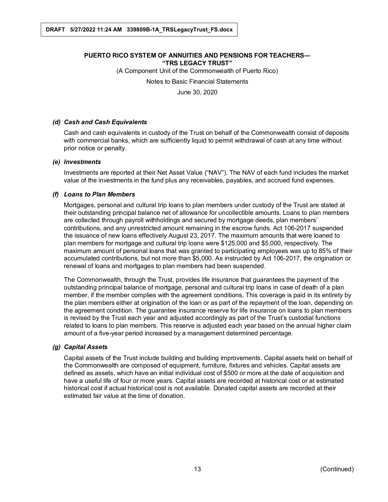(A Component Unit of the Commonwealth of Puerto Rico)

Notes to Basic Financial Statements

June 30, 2020

## *(d) Cash and Cash Equivalents*

Cash and cash equivalents in custody of the Trust on behalf of the Commonwealth consist of deposits with commercial banks, which are sufficiently liquid to permit withdrawal of cash at any time without prior notice or penalty.

#### *(e) Investments*

Investments are reported at their Net Asset Value ("NAV"). The NAV of each fund includes the market value of the investments in the fund plus any receivables, payables, and accrued fund expenses.

## *(f) Loans to Plan Members*

Mortgages, personal and cultural trip loans to plan members under custody of the Trust are stated at their outstanding principal balance net of allowance for uncollectible amounts. Loans to plan members are collected through payroll withholdings and secured by mortgage deeds, plan members' contributions, and any unrestricted amount remaining in the escrow funds. Act 106-2017 suspended the issuance of new loans effectively August 23, 2017. The maximum amounts that were loaned to plan members for mortgage and cultural trip loans were \$125,000 and \$5,000, respectively. The maximum amount of personal loans that was granted to participating employees was up to 85% of their accumulated contributions, but not more than \$5,000. As instructed by Act 106-2017, the origination or renewal of loans and mortgages to plan members had been suspended.

The Commonwealth, through the Trust, provides life insurance that guarantees the payment of the outstanding principal balance of mortgage, personal and cultural trip loans in case of death of a plan member, if the member complies with the agreement conditions. This coverage is paid in its entirety by the plan members either at origination of the loan or as part of the repayment of the loan, depending on the agreement condition. The guarantee insurance reserve for life insurance on loans to plan members is revised by the Trust each year and adjusted accordingly as part of the Trust's custodial functions related to loans to plan members. This reserve is adjusted each year based on the annual higher claim amount of a five-year period increased by a management determined percentage.

#### *(g) Capital Assets*

Capital assets of the Trust include building and building improvements. Capital assets held on behalf of the Commonwealth are composed of equipment, furniture, fixtures and vehicles. Capital assets are defined as assets, which have an initial individual cost of \$500 or more at the date of acquisition and have a useful life of four or more years. Capital assets are recorded at historical cost or at estimated historical cost if actual historical cost is not available. Donated capital assets are recorded at their estimated fair value at the time of donation.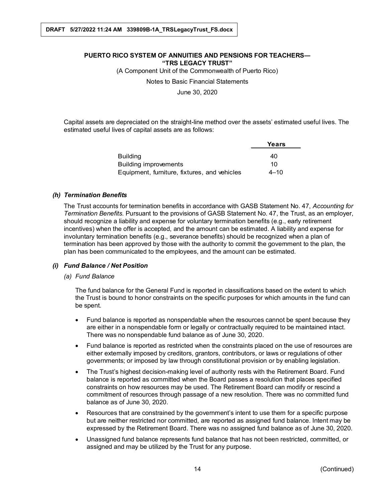(A Component Unit of the Commonwealth of Puerto Rico)

Notes to Basic Financial Statements

June 30, 2020

Capital assets are depreciated on the straight-line method over the assets' estimated useful lives. The estimated useful lives of capital assets are as follows:

|                                              | Years    |
|----------------------------------------------|----------|
| <b>Building</b>                              | 40       |
| <b>Building improvements</b>                 | 10       |
| Equipment, furniture, fixtures, and vehicles | $4 - 10$ |

## *(h) Termination Benefits*

The Trust accounts for termination benefits in accordance with GASB Statement No. 47, *Accounting for Termination Benefits*. Pursuant to the provisions of GASB Statement No. 47, the Trust, as an employer, should recognize a liability and expense for voluntary termination benefits (e.g., early retirement incentives) when the offer is accepted, and the amount can be estimated. A liability and expense for involuntary termination benefits (e.g., severance benefits) should be recognized when a plan of termination has been approved by those with the authority to commit the government to the plan, the plan has been communicated to the employees, and the amount can be estimated.

#### *(i) Fund Balance / Net Position*

#### *(a) Fund Balance*

The fund balance for the General Fund is reported in classifications based on the extent to which the Trust is bound to honor constraints on the specific purposes for which amounts in the fund can be spent.

- Fund balance is reported as nonspendable when the resources cannot be spent because they are either in a nonspendable form or legally or contractually required to be maintained intact. There was no nonspendable fund balance as of June 30, 2020.
- Fund balance is reported as restricted when the constraints placed on the use of resources are either externally imposed by creditors, grantors, contributors, or laws or regulations of other governments; or imposed by law through constitutional provision or by enabling legislation.
- The Trust's highest decision-making level of authority rests with the Retirement Board. Fund balance is reported as committed when the Board passes a resolution that places specified constraints on how resources may be used. The Retirement Board can modify or rescind a commitment of resources through passage of a new resolution. There was no committed fund balance as of June 30, 2020.
- Resources that are constrained by the government's intent to use them for a specific purpose but are neither restricted nor committed, are reported as assigned fund balance. Intent may be expressed by the Retirement Board. There was no assigned fund balance as of June 30, 2020.
- Unassigned fund balance represents fund balance that has not been restricted, committed, or assigned and may be utilized by the Trust for any purpose.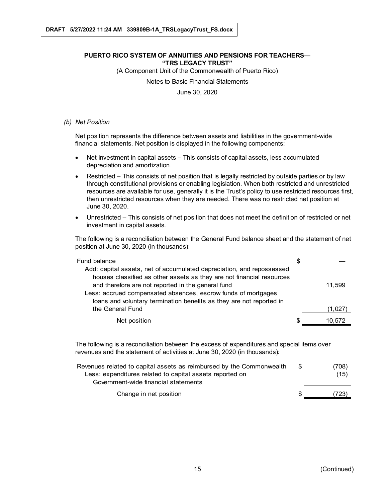(A Component Unit of the Commonwealth of Puerto Rico)

Notes to Basic Financial Statements

June 30, 2020

#### *(b) Net Position*

Net position represents the difference between assets and liabilities in the government-wide financial statements. Net position is displayed in the following components:

- Net investment in capital assets This consists of capital assets, less accumulated depreciation and amortization.
- Restricted This consists of net position that is legally restricted by outside parties or by law through constitutional provisions or enabling legislation. When both restricted and unrestricted resources are available for use, generally it is the Trust's policy to use restricted resources first, then unrestricted resources when they are needed. There was no restricted net position at June 30, 2020.
- Unrestricted This consists of net position that does not meet the definition of restricted or net investment in capital assets.

The following is a reconciliation between the General Fund balance sheet and the statement of net position at June 30, 2020 (in thousands):

| \$  |         |
|-----|---------|
|     |         |
|     |         |
|     | 11,599  |
|     |         |
|     |         |
|     | (1.027) |
| \$. | 10,572  |
|     |         |

The following is a reconciliation between the excess of expenditures and special items over revenues and the statement of activities at June 30, 2020 (in thousands):

| Revenues related to capital assets as reimbursed by the Commonwealth | (708) |
|----------------------------------------------------------------------|-------|
| Less: expenditures related to capital assets reported on             | (15)  |
| Government-wide financial statements                                 |       |
| Change in net position                                               | (723) |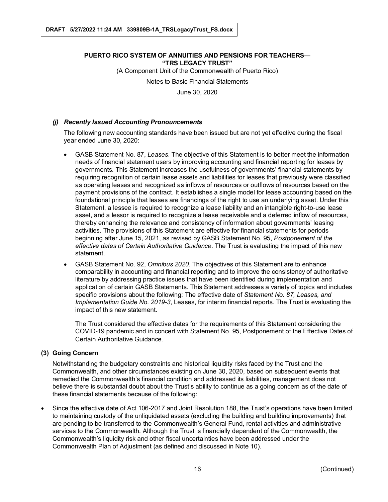(A Component Unit of the Commonwealth of Puerto Rico)

Notes to Basic Financial Statements

June 30, 2020

## *(j) Recently Issued Accounting Pronouncements*

The following new accounting standards have been issued but are not yet effective during the fiscal year ended June 30, 2020:

- GASB Statement No. 87, *Leases*. The objective of this Statement is to better meet the information needs of financial statement users by improving accounting and financial reporting for leases by governments. This Statement increases the usefulness of governments' financial statements by requiring recognition of certain lease assets and liabilities for leases that previously were classified as operating leases and recognized as inflows of resources or outflows of resources based on the payment provisions of the contract. It establishes a single model for lease accounting based on the foundational principle that leases are financings of the right to use an underlying asset. Under this Statement, a lessee is required to recognize a lease liability and an intangible right-to-use lease asset, and a lessor is required to recognize a lease receivable and a deferred inflow of resources, thereby enhancing the relevance and consistency of information about governments' leasing activities. The provisions of this Statement are effective for financial statements for periods beginning after June 15, 2021, as revised by GASB Statement No. 95, *Postponement of the effective dates of Certain Authoritative Guidance*. The Trust is evaluating the impact of this new statement.
- GASB Statement No. 92, *Omnibus 2020*. The objectives of this Statement are to enhance comparability in accounting and financial reporting and to improve the consistency of authoritative literature by addressing practice issues that have been identified during implementation and application of certain GASB Statements. This Statement addresses a variety of topics and includes specific provisions about the following: The effective date of *Statement No. 87, Leases, and Implementation Guide No. 2019-3*, Leases, for interim financial reports. The Trust is evaluating the impact of this new statement.

The Trust considered the effective dates for the requirements of this Statement considering the COVID-19 pandemic and in concert with Statement No. 95, Postponement of the Effective Dates of Certain Authoritative Guidance*.*

#### **(3) Going Concern**

Notwithstanding the budgetary constraints and historical liquidity risks faced by the Trust and the Commonwealth, and other circumstances existing on June 30, 2020, based on subsequent events that remedied the Commonwealth's financial condition and addressed its liabilities, management does not believe there is substantial doubt about the Trust's ability to continue as a going concern as of the date of these financial statements because of the following:

• Since the effective date of Act 106-2017 and Joint Resolution 188, the Trust's operations have been limited to maintaining custody of the unliquidated assets (excluding the building and building improvements) that are pending to be transferred to the Commonwealth's General Fund, rental activities and administrative services to the Commonwealth. Although the Trust is financially dependent of the Commonwealth, the Commonwealth's liquidity risk and other fiscal uncertainties have been addressed under the Commonwealth Plan of Adjustment (as defined and discussed in Note 10).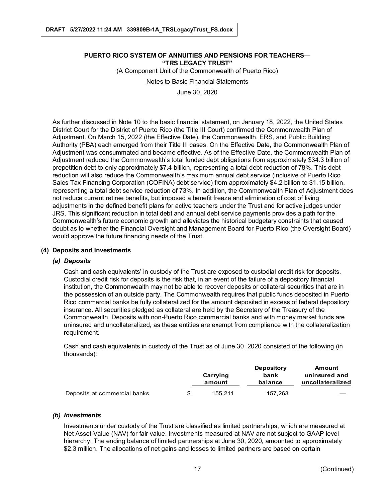(A Component Unit of the Commonwealth of Puerto Rico)

Notes to Basic Financial Statements

June 30, 2020

As further discussed in Note 10 to the basic financial statement, on January 18, 2022, the United States District Court for the District of Puerto Rico (the Title III Court) confirmed the Commonwealth Plan of Adjustment. On March 15, 2022 (the Effective Date), the Commonwealth, ERS, and Public Building Authority (PBA) each emerged from their Title III cases. On the Effective Date, the Commonwealth Plan of Adjustment was consummated and became effective. As of the Effective Date, the Commonwealth Plan of Adjustment reduced the Commonwealth's total funded debt obligations from approximately \$34.3 billion of prepetition debt to only approximately \$7.4 billion, representing a total debt reduction of 78%. This debt reduction will also reduce the Commonwealth's maximum annual debt service (inclusive of Puerto Rico Sales Tax Financing Corporation (COFINA) debt service) from approximately \$4.2 billion to \$1.15 billion, representing a total debt service reduction of 73%. In addition, the Commonwealth Plan of Adjustment does not reduce current retiree benefits, but imposed a benefit freeze and elimination of cost of living adjustments in the defined benefit plans for active teachers under the Trust and for active judges under JRS. This significant reduction in total debt and annual debt service payments provides a path for the Commonwealth's future economic growth and alleviates the historical budgetary constraints that caused doubt as to whether the Financial Oversight and Management Board for Puerto Rico (the Oversight Board) would approve the future financing needs of the Trust.

## **(4) Deposits and Investments**

#### *(a) Deposits*

Cash and cash equivalents' in custody of the Trust are exposed to custodial credit risk for deposits. Custodial credit risk for deposits is the risk that, in an event of the failure of a depository financial institution, the Commonwealth may not be able to recover deposits or collateral securities that are in the possession of an outside party. The Commonwealth requires that public funds deposited in Puerto Rico commercial banks be fully collateralized for the amount deposited in excess of federal depository insurance. All securities pledged as collateral are held by the Secretary of the Treasury of the Commonwealth. Deposits with non-Puerto Rico commercial banks and with money market funds are uninsured and uncollateralized, as these entities are exempt from compliance with the collateralization requirement.

Cash and cash equivalents in custody of the Trust as of June 30, 2020 consisted of the following (in thousands):

|                              |   |                    | <b>Depository</b> | Amount                            |
|------------------------------|---|--------------------|-------------------|-----------------------------------|
|                              |   | Carrying<br>amount | bank<br>balance   | uninsured and<br>uncollateralized |
| Deposits at commercial banks | S | 155.211            | 157.263           |                                   |

#### *(b) Investments*

Investments under custody of the Trust are classified as limited partnerships, which are measured at Net Asset Value (NAV) for fair value. Investments measured at NAV are not subject to GAAP level hierarchy. The ending balance of limited partnerships at June 30, 2020, amounted to approximately \$2.3 million. The allocations of net gains and losses to limited partners are based on certain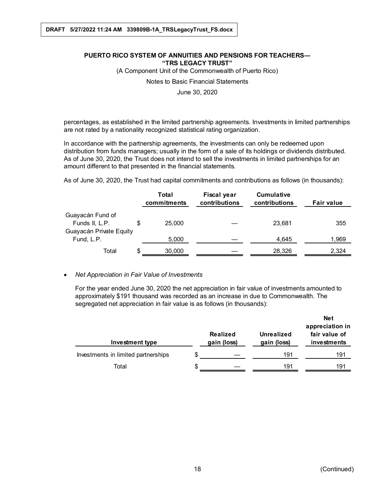(A Component Unit of the Commonwealth of Puerto Rico)

Notes to Basic Financial Statements

June 30, 2020

percentages, as established in the limited partnership agreements. Investments in limited partnerships are not rated by a nationality recognized statistical rating organization.

In accordance with the partnership agreements, the investments can only be redeemed upon distribution from funds managers; usually in the form of a sale of its holdings or dividends distributed. As of June 30, 2020, the Trust does not intend to sell the investments in limited partnerships for an amount different to that presented in the financial statements.

As of June 30, 2020, the Trust had capital commitments and contributions as follows (in thousands):

|                         | Total<br>commitments | <b>Fiscal year</b><br>contributions | <b>Cumulative</b><br>contributions | <b>Fair value</b> |
|-------------------------|----------------------|-------------------------------------|------------------------------------|-------------------|
| Guayacán Fund of        |                      |                                     |                                    |                   |
| Funds II, L.P.          | 25,000               |                                     | 23.681                             | 355               |
| Guayacán Private Equity |                      |                                     |                                    |                   |
| Fund, L.P.              | 5,000                |                                     | 4,645                              | 1,969             |
| Total                   | 30,000               |                                     | 28,326                             | 2,324             |

#### • *Net Appreciation in Fair Value of Investments*

For the year ended June 30, 2020 the net appreciation in fair value of investments amounted to approximately \$191 thousand was recorded as an increase in due to Commonwealth. The segregated net appreciation in fair value is as follows (in thousands):

| Investment type                     |   | <b>Realized</b><br>gain (loss) | Unrealized<br>gain (loss) | <b>Net</b><br>appreciation in<br>fair value of<br>investments |
|-------------------------------------|---|--------------------------------|---------------------------|---------------------------------------------------------------|
| Investments in limited partnerships | S |                                | 191                       | 191                                                           |
| Total                               | S |                                | 191                       | 191                                                           |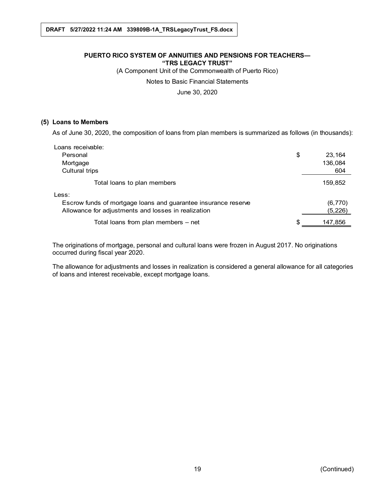(A Component Unit of the Commonwealth of Puerto Rico)

Notes to Basic Financial Statements

June 30, 2020

#### **(5) Loans to Members**

As of June 30, 2020, the composition of loans from plan members is summarized as follows (in thousands):

| Loans receivable:                                              |    |          |
|----------------------------------------------------------------|----|----------|
| Personal                                                       | \$ | 23,164   |
| Mortgage                                                       |    | 136,084  |
| Cultural trips                                                 |    | 604      |
| Total loans to plan members                                    |    | 159,852  |
| Less:                                                          |    |          |
| Escrow funds of mortgage loans and guarantee insurance reserve |    | (6, 770) |
| Allowance for adjustments and losses in realization            |    | (5, 226) |
| Total loans from plan members – net                            | S  | 147.856  |

The originations of mortgage, personal and cultural loans were frozen in August 2017. No originations occurred during fiscal year 2020.

The allowance for adjustments and losses in realization is considered a general allowance for all categories of loans and interest receivable, except mortgage loans.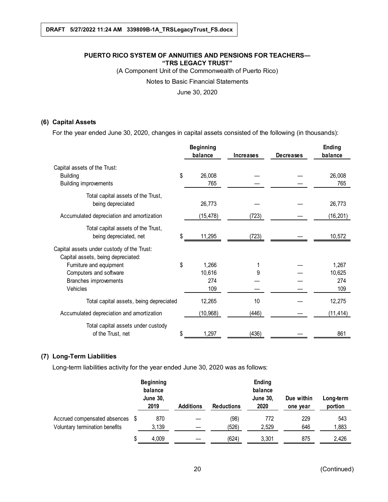(A Component Unit of the Commonwealth of Puerto Rico)

Notes to Basic Financial Statements

June 30, 2020

## **(6) Capital Assets**

For the year ended June 30, 2020, changes in capital assets consisted of the following (in thousands):

|                                                         |    | <b>Beginning</b> |                  |                  | <b>Ending</b> |
|---------------------------------------------------------|----|------------------|------------------|------------------|---------------|
|                                                         |    | balance          | <b>Increases</b> | <b>Decreases</b> | balance       |
| Capital assets of the Trust:                            |    |                  |                  |                  |               |
| <b>Building</b>                                         | \$ | 26,008           |                  |                  | 26,008        |
| <b>Building improvements</b>                            |    | 765              |                  |                  | 765           |
| Total capital assets of the Trust,<br>being depreciated |    | 26,773           |                  |                  | 26,773        |
| Accumulated depreciation and amortization               |    | (15, 478)        | (723)            |                  | (16, 201)     |
| Total capital assets of the Trust,                      |    |                  |                  |                  |               |
| being depreciated, net                                  | \$ | 11,295           | (723)            |                  | 10,572        |
| Capital assets under custody of the Trust:              |    |                  |                  |                  |               |
| Capital assets, being depreciated:                      |    |                  |                  |                  |               |
| Furniture and equipment                                 | \$ | 1,266            |                  |                  | 1,267         |
| Computers and software                                  |    | 10,616           | 9                |                  | 10,625        |
| Branches improvements                                   |    | 274              |                  |                  | 274           |
| Vehicles                                                |    | 109              |                  |                  | 109           |
| Total capital assets, being depreciated                 |    | 12,265           | 10               |                  | 12,275        |
| Accumulated depreciation and amortization               |    | (10, 968)        | (446)            |                  | (11, 414)     |
| Total capital assets under custody                      |    |                  |                  |                  |               |
| of the Trust, net                                       | \$ | 1,297            | (436)            |                  | 861           |

#### **(7) Long-Term Liabilities**

Long-term liabilities activity for the year ended June 30, 2020 was as follows:

|                                                                   |   | <b>Beginning</b><br>balance<br><b>June 30,</b><br>2019 | <b>Additions</b> | <b>Reductions</b> | Ending<br>balance<br><b>June 30,</b><br>2020 | Due within<br>one year | Long-term<br>portion |
|-------------------------------------------------------------------|---|--------------------------------------------------------|------------------|-------------------|----------------------------------------------|------------------------|----------------------|
| Accrued compensated absences \$<br>Voluntary termination benefits |   | 870<br>3,139                                           |                  | (98)<br>(526)     | 772<br>2,529                                 | 229<br>646             | 543<br>1,883         |
|                                                                   | S | 4.009                                                  |                  | (624)             | 3,301                                        | 875                    | 2,426                |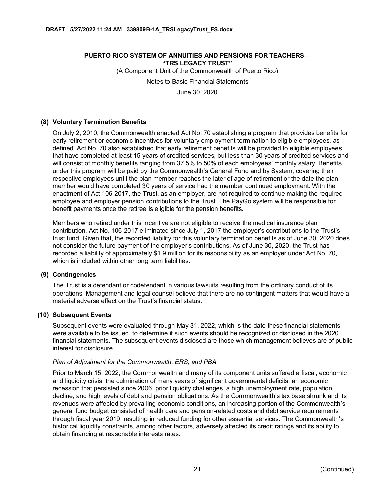(A Component Unit of the Commonwealth of Puerto Rico)

Notes to Basic Financial Statements

June 30, 2020

## **(8) Voluntary Termination Benefits**

On July 2, 2010, the Commonwealth enacted Act No. 70 establishing a program that provides benefits for early retirement or economic incentives for voluntary employment termination to eligible employees, as defined. Act No. 70 also established that early retirement benefits will be provided to eligible employees that have completed at least 15 years of credited services, but less than 30 years of credited services and will consist of monthly benefits ranging from 37.5% to 50% of each employees' monthly salary. Benefits under this program will be paid by the Commonwealth's General Fund and by System, covering their respective employees until the plan member reaches the later of age of retirement or the date the plan member would have completed 30 years of service had the member continued employment. With the enactment of Act 106-2017, the Trust, as an employer, are not required to continue making the required employee and employer pension contributions to the Trust. The PayGo system will be responsible for benefit payments once the retiree is eligible for the pension benefits.

Members who retired under this incentive are not eligible to receive the medical insurance plan contribution. Act No. 106-2017 eliminated since July 1, 2017 the employer's contributions to the Trust's trust fund. Given that, the recorded liability for this voluntary termination benefits as of June 30, 2020 does not consider the future payment of the employer's contributions. As of June 30, 2020, the Trust has recorded a liability of approximately \$1.9 million for its responsibility as an employer under Act No. 70, which is included within other long term liabilities.

#### **(9) Contingencies**

The Trust is a defendant or codefendant in various lawsuits resulting from the ordinary conduct of its operations. Management and legal counsel believe that there are no contingent matters that would have a material adverse effect on the Trust's financial status.

#### **(10) Subsequent Events**

Subsequent events were evaluated through May 31, 2022, which is the date these financial statements were available to be issued, to determine if such events should be recognized or disclosed in the 2020 financial statements. The subsequent events disclosed are those which management believes are of public interest for disclosure.

#### *Plan of Adjustment for the Commonwealth, ERS, and PBA*

Prior to March 15, 2022, the Commonwealth and many of its component units suffered a fiscal, economic and liquidity crisis, the culmination of many years of significant governmental deficits, an economic recession that persisted since 2006, prior liquidity challenges, a high unemployment rate, population decline, and high levels of debt and pension obligations. As the Commonwealth's tax base shrunk and its revenues were affected by prevailing economic conditions, an increasing portion of the Commonwealth's general fund budget consisted of health care and pension-related costs and debt service requirements through fiscal year 2019, resulting in reduced funding for other essential services. The Commonwealth's historical liquidity constraints, among other factors, adversely affected its credit ratings and its ability to obtain financing at reasonable interests rates.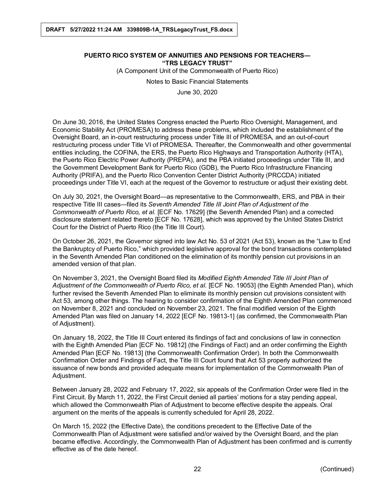(A Component Unit of the Commonwealth of Puerto Rico)

Notes to Basic Financial Statements

June 30, 2020

On June 30, 2016, the United States Congress enacted the Puerto Rico Oversight, Management, and Economic Stability Act (PROMESA) to address these problems, which included the establishment of the Oversight Board, an in-court restructuring process under Title III of PROMESA, and an out-of-court restructuring process under Title VI of PROMESA. Thereafter, the Commonwealth and other governmental entities including, the COFINA, the ERS, the Puerto Rico Highways and Transportation Authority (HTA), the Puerto Rico Electric Power Authority (PREPA), and the PBA initiated proceedings under Title III, and the Government Development Bank for Puerto Rico (GDB), the Puerto Rico Infrastructure Financing Authority (PRIFA), and the Puerto Rico Convention Center District Authority (PRCCDA) initiated proceedings under Title VI, each at the request of the Governor to restructure or adjust their existing debt.

On July 30, 2021, the Oversight Board—as representative to the Commonwealth, ERS, and PBA in their respective Title III cases—filed its *Seventh Amended Title III Joint Plan of Adjustment of the Commonwealth of Puerto Rico, et al.* [ECF No. 17629] (the Seventh Amended Plan) and a corrected disclosure statement related thereto [ECF No. 17628], which was approved by the United States District Court for the District of Puerto Rico (the Title III Court).

On October 26, 2021, the Governor signed into law Act No. 53 of 2021 (Act 53), known as the "Law to End the Bankruptcy of Puerto Rico," which provided legislative approval for the bond transactions contemplated in the Seventh Amended Plan conditioned on the elimination of its monthly pension cut provisions in an amended version of that plan.

On November 3, 2021, the Oversight Board filed its *Modified Eighth Amended Title III Joint Plan of Adjustment of the Commonwealth of Puerto Rico, et al.* [ECF No. 19053] (the Eighth Amended Plan), which further revised the Seventh Amended Plan to eliminate its monthly pension cut provisions consistent with Act 53, among other things. The hearing to consider confirmation of the Eighth Amended Plan commenced on November 8, 2021 and concluded on November 23, 2021. The final modified version of the Eighth Amended Plan was filed on January 14, 2022 [ECF No. 19813-1] (as confirmed, the Commonwealth Plan of Adjustment).

On January 18, 2022, the Title III Court entered its findings of fact and conclusions of law in connection with the Eighth Amended Plan [ECF No. 19812] (the Findings of Fact) and an order confirming the Eighth Amended Plan [ECF No. 19813] (the Commonwealth Confirmation Order). In both the Commonwealth Confirmation Order and Findings of Fact, the Title III Court found that Act 53 properly authorized the issuance of new bonds and provided adequate means for implementation of the Commonwealth Plan of Adjustment.

Between January 28, 2022 and February 17, 2022, six appeals of the Confirmation Order were filed in the First Circuit. By March 11, 2022, the First Circuit denied all parties' motions for a stay pending appeal, which allowed the Commonwealth Plan of Adjustment to become effective despite the appeals. Oral argument on the merits of the appeals is currently scheduled for April 28, 2022.

On March 15, 2022 (the Effective Date), the conditions precedent to the Effective Date of the Commonwealth Plan of Adjustment were satisfied and/or waived by the Oversight Board, and the plan became effective. Accordingly, the Commonwealth Plan of Adjustment has been confirmed and is currently effective as of the date hereof.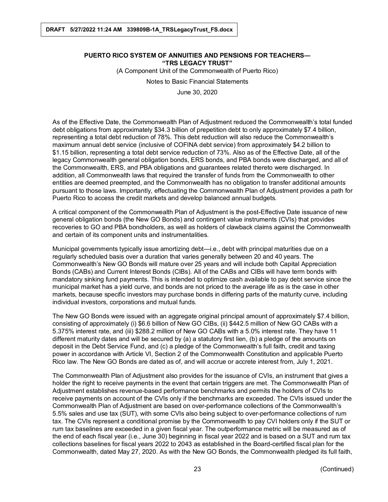(A Component Unit of the Commonwealth of Puerto Rico)

Notes to Basic Financial Statements

June 30, 2020

As of the Effective Date, the Commonwealth Plan of Adjustment reduced the Commonwealth's total funded debt obligations from approximately \$34.3 billion of prepetition debt to only approximately \$7.4 billion, representing a total debt reduction of 78%. This debt reduction will also reduce the Commonwealth's maximum annual debt service (inclusive of COFINA debt service) from approximately \$4.2 billion to \$1.15 billion, representing a total debt service reduction of 73%. Also as of the Effective Date, all of the legacy Commonwealth general obligation bonds, ERS bonds, and PBA bonds were discharged, and all of the Commonwealth, ERS, and PBA obligations and guarantees related thereto were discharged. In addition, all Commonwealth laws that required the transfer of funds from the Commonwealth to other entities are deemed preempted, and the Commonwealth has no obligation to transfer additional amounts pursuant to those laws. Importantly, effectuating the Commonwealth Plan of Adjustment provides a path for Puerto Rico to access the credit markets and develop balanced annual budgets.

A critical component of the Commonwealth Plan of Adjustment is the post-Effective Date issuance of new general obligation bonds (the New GO Bonds) and contingent value instruments (CVIs) that provides recoveries to GO and PBA bondholders, as well as holders of clawback claims against the Commonwealth and certain of its component units and instrumentalities.

Municipal governments typically issue amortizing debt—i.e., debt with principal maturities due on a regularly scheduled basis over a duration that varies generally between 20 and 40 years. The Commonwealth's New GO Bonds will mature over 25 years and will include both Capital Appreciation Bonds (CABs) and Current Interest Bonds (CIBs). All of the CABs and CIBs will have term bonds with mandatory sinking fund payments. This is intended to optimize cash available to pay debt service since the municipal market has a yield curve, and bonds are not priced to the average life as is the case in other markets, because specific investors may purchase bonds in differing parts of the maturity curve, including individual investors, corporations and mutual funds.

The New GO Bonds were issued with an aggregate original principal amount of approximately \$7.4 billion, consisting of approximately (i) \$6.6 billion of New GO CIBs, (ii) \$442.5 million of New GO CABs with a 5.375% interest rate, and (iii) \$288.2 million of New GO CABs with a 5.0% interest rate. They have 11 different maturity dates and will be secured by (a) a statutory first lien, (b) a pledge of the amounts on deposit in the Debt Service Fund, and (c) a pledge of the Commonwealth's full faith, credit and taxing power in accordance with Article VI, Section 2 of the Commonwealth Constitution and applicable Puerto Rico law. The New GO Bonds are dated as of, and will accrue or accrete interest from, July 1, 2021.

The Commonwealth Plan of Adjustment also provides for the issuance of CVIs, an instrument that gives a holder the right to receive payments in the event that certain triggers are met. The Commonwealth Plan of Adjustment establishes revenue-based performance benchmarks and permits the holders of CVIs to receive payments on account of the CVIs only if the benchmarks are exceeded. The CVIs issued under the Commonwealth Plan of Adjustment are based on over-performance collections of the Commonwealth's 5.5% sales and use tax (SUT), with some CVIs also being subject to over-performance collections of rum tax. The CVIs represent a conditional promise by the Commonwealth to pay CVI holders only if the SUT or rum tax baselines are exceeded in a given fiscal year. The outperformance metric will be measured as of the end of each fiscal year (i.e., June 30) beginning in fiscal year 2022 and is based on a SUT and rum tax collections baselines for fiscal years 2022 to 2043 as established in the Board-certified fiscal plan for the Commonwealth, dated May 27, 2020. As with the New GO Bonds, the Commonwealth pledged its full faith,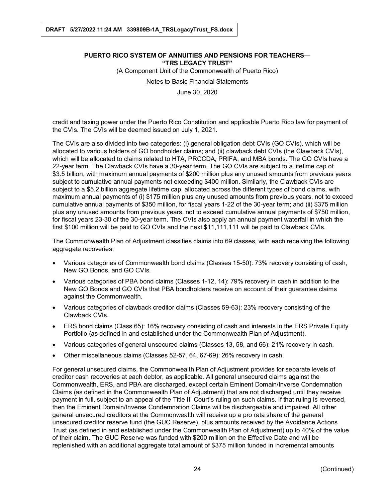(A Component Unit of the Commonwealth of Puerto Rico)

Notes to Basic Financial Statements

June 30, 2020

credit and taxing power under the Puerto Rico Constitution and applicable Puerto Rico law for payment of the CVIs. The CVIs will be deemed issued on July 1, 2021.

The CVIs are also divided into two categories: (i) general obligation debt CVIs (GO CVIs), which will be allocated to various holders of GO bondholder claims; and (ii) clawback debt CVIs (the Clawback CVIs), which will be allocated to claims related to HTA, PRCCDA, PRIFA, and MBA bonds. The GO CVIs have a 22-year term. The Clawback CVIs have a 30-year term. The GO CVIs are subject to a lifetime cap of \$3.5 billion, with maximum annual payments of \$200 million plus any unused amounts from previous years subject to cumulative annual payments not exceeding \$400 million. Similarly, the Clawback CVIs are subject to a \$5.2 billion aggregate lifetime cap, allocated across the different types of bond claims, with maximum annual payments of (i) \$175 million plus any unused amounts from previous years, not to exceed cumulative annual payments of \$350 million, for fiscal years 1-22 of the 30-year term; and (ii) \$375 million plus any unused amounts from previous years, not to exceed cumulative annual payments of \$750 million, for fiscal years 23-30 of the 30-year term. The CVIs also apply an annual payment waterfall in which the first \$100 million will be paid to GO CVIs and the next \$11,111,111 will be paid to Clawback CVIs.

The Commonwealth Plan of Adjustment classifies claims into 69 classes, with each receiving the following aggregate recoveries:

- Various categories of Commonwealth bond claims (Classes 15-50): 73% recovery consisting of cash, New GO Bonds, and GO CVIs.
- Various categories of PBA bond claims (Classes 1-12, 14): 79% recovery in cash in addition to the New GO Bonds and GO CVIs that PBA bondholders receive on account of their guarantee claims against the Commonwealth.
- Various categories of clawback creditor claims (Classes 59-63): 23% recovery consisting of the Clawback CVIs.
- ERS bond claims (Class 65): 16% recovery consisting of cash and interests in the ERS Private Equity Portfolio (as defined in and established under the Commonwealth Plan of Adjustment).
- Various categories of general unsecured claims (Classes 13, 58, and 66): 21% recovery in cash.
- Other miscellaneous claims (Classes 52-57, 64, 67-69): 26% recovery in cash.

For general unsecured claims, the Commonwealth Plan of Adjustment provides for separate levels of creditor cash recoveries at each debtor, as applicable. All general unsecured claims against the Commonwealth, ERS, and PBA are discharged, except certain Eminent Domain/Inverse Condemnation Claims (as defined in the Commonwealth Plan of Adjustment) that are not discharged until they receive payment in full, subject to an appeal of the Title III Court's ruling on such claims. If that ruling is reversed, then the Eminent Domain/Inverse Condemnation Claims will be dischargeable and impaired. All other general unsecured creditors at the Commonwealth will receive up a pro rata share of the general unsecured creditor reserve fund (the GUC Reserve), plus amounts received by the Avoidance Actions Trust (as defined in and established under the Commonwealth Plan of Adjustment) up to 40% of the value of their claim. The GUC Reserve was funded with \$200 million on the Effective Date and will be replenished with an additional aggregate total amount of \$375 million funded in incremental amounts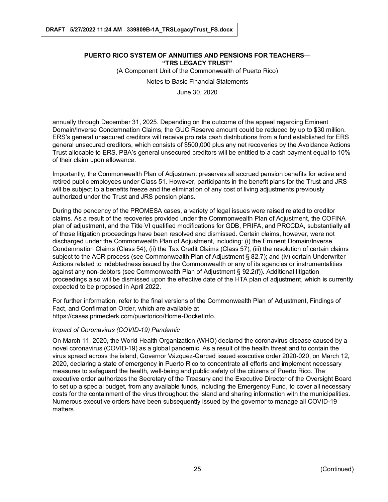(A Component Unit of the Commonwealth of Puerto Rico)

Notes to Basic Financial Statements

June 30, 2020

annually through December 31, 2025. Depending on the outcome of the appeal regarding Eminent Domain/Inverse Condemnation Claims, the GUC Reserve amount could be reduced by up to \$30 million. ERS's general unsecured creditors will receive pro rata cash distributions from a fund established for ERS general unsecured creditors, which consists of \$500,000 plus any net recoveries by the Avoidance Actions Trust allocable to ERS. PBA's general unsecured creditors will be entitled to a cash payment equal to 10% of their claim upon allowance.

Importantly, the Commonwealth Plan of Adjustment preserves all accrued pension benefits for active and retired public employees under Class 51. However, participants in the benefit plans for the Trust and JRS will be subject to a benefits freeze and the elimination of any cost of living adjustments previously authorized under the Trust and JRS pension plans.

During the pendency of the PROMESA cases, a variety of legal issues were raised related to creditor claims. As a result of the recoveries provided under the Commonwealth Plan of Adjustment, the COFINA plan of adjustment, and the Title VI qualified modifications for GDB, PRIFA, and PRCCDA, substantially all of those litigation proceedings have been resolved and dismissed. Certain claims, however, were not discharged under the Commonwealth Plan of Adjustment, including: (i) the Eminent Domain/Inverse Condemnation Claims (Class 54); (ii) the Tax Credit Claims (Class 57); (iii) the resolution of certain claims subject to the ACR process (see Commonwealth Plan of Adjustment § 82.7); and (iv) certain Underwriter Actions related to indebtedness issued by the Commonwealth or any of its agencies or instrumentalities against any non-debtors (see Commonwealth Plan of Adjustment § 92.2(f)). Additional litigation proceedings also will be dismissed upon the effective date of the HTA plan of adjustment, which is currently expected to be proposed in April 2022.

For further information, refer to the final versions of the Commonwealth Plan of Adjustment, Findings of Fact, and Confirmation Order, which are available at https://cases.primeclerk.com/puertorico/Home-DocketInfo.

# *Impact of Coronavirus (COVID-19) Pandemic*

On March 11, 2020, the World Health Organization (WHO) declared the coronavirus disease caused by a novel coronavirus (COVID-19) as a global pandemic. As a result of the health threat and to contain the virus spread across the island, Governor Vázquez-Garced issued executive order 2020-020, on March 12, 2020, declaring a state of emergency in Puerto Rico to concentrate all efforts and implement necessary measures to safeguard the health, well-being and public safety of the citizens of Puerto Rico. The executive order authorizes the Secretary of the Treasury and the Executive Director of the Oversight Board to set up a special budget, from any available funds, including the Emergency Fund, to cover all necessary costs for the containment of the virus throughout the island and sharing information with the municipalities. Numerous executive orders have been subsequently issued by the governor to manage all COVID-19 matters.